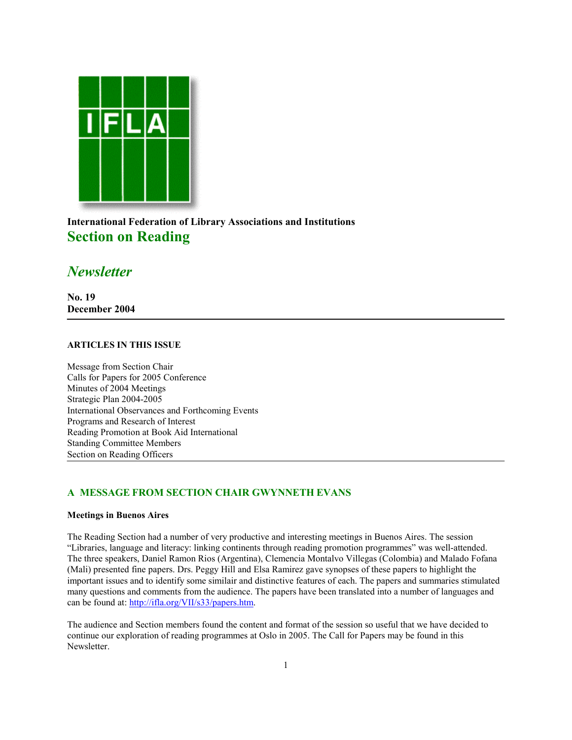

**International Federation of Library Associations and Institutions Section on Reading**

# *Newsletter*

**No. 19 December 2004**

## **ARTICLES IN THIS ISSUE**

Message from Section Chair Calls for Papers for 2005 Conference Minutes of 2004 Meetings Strategic Plan 2004-2005 International Observances and Forthcoming Events Programs and Research of Interest Reading Promotion at Book Aid International Standing Committee Members Section on Reading Officers

## **A MESSAGE FROM SECTION CHAIR GWYNNETH EVANS**

## **Meetings in Buenos Aires**

The Reading Section had a number of very productive and interesting meetings in Buenos Aires. The session "Libraries, language and literacy: linking continents through reading promotion programmes" was well-attended. The three speakers, Daniel Ramon Rios (Argentina), Clemencia Montalvo Villegas (Colombia) and Malado Fofana (Mali) presented fine papers. Drs. Peggy Hill and Elsa Ramirez gave synopses of these papers to highlight the important issues and to identify some similair and distinctive features of each. The papers and summaries stimulated many questions and comments from the audience. The papers have been translated into a number of languages and can be found at: [http://ifla.org/VII/s33/papers.htm.](http://ifla.org/VII/s33/papers.htm)

The audience and Section members found the content and format of the session so useful that we have decided to continue our exploration of reading programmes at Oslo in 2005. The Call for Papers may be found in this Newsletter.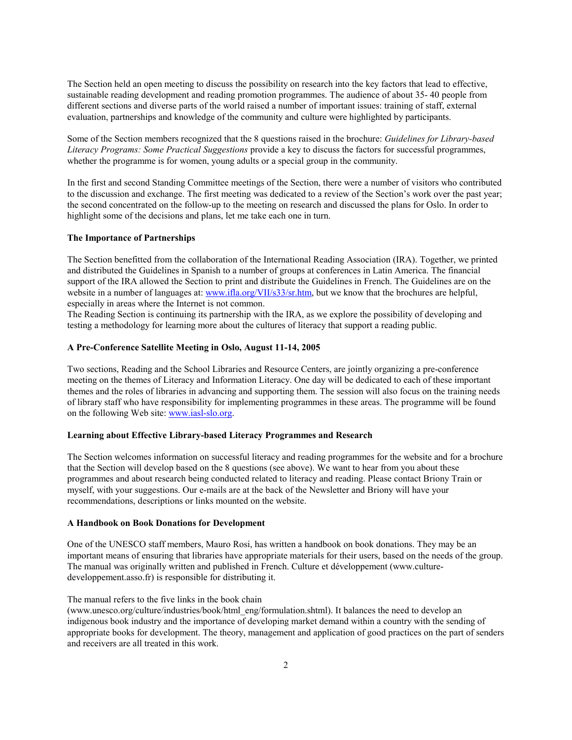The Section held an open meeting to discuss the possibility on research into the key factors that lead to effective, sustainable reading development and reading promotion programmes. The audience of about 35- 40 people from different sections and diverse parts of the world raised a number of important issues: training of staff, external evaluation, partnerships and knowledge of the community and culture were highlighted by participants.

Some of the Section members recognized that the 8 questions raised in the brochure: *Guidelines for Library-based Literacy Programs: Some Practical Suggestions* provide a key to discuss the factors for successful programmes, whether the programme is for women, young adults or a special group in the community.

In the first and second Standing Committee meetings of the Section, there were a number of visitors who contributed to the discussion and exchange. The first meeting was dedicated to a review of the Section's work over the past year; the second concentrated on the follow-up to the meeting on research and discussed the plans for Oslo. In order to highlight some of the decisions and plans, let me take each one in turn.

#### **The Importance of Partnerships**

The Section benefitted from the collaboration of the International Reading Association (IRA). Together, we printed and distributed the Guidelines in Spanish to a number of groups at conferences in Latin America. The financial support of the IRA allowed the Section to print and distribute the Guidelines in French. The Guidelines are on the website in a number of languages at: www.ifla.org/VII/s33/sr.htm, but we know that the brochures are helpful, especially in areas where the Internet is not common.

The Reading Section is continuing its partnership with the IRA, as we explore the possibility of developing and testing a methodology for learning more about the cultures of literacy that support a reading public.

#### **A Pre-Conference Satellite Meeting in Oslo, August 11-14, 2005**

Two sections, Reading and the School Libraries and Resource Centers, are jointly organizing a pre-conference meeting on the themes of Literacy and Information Literacy. One day will be dedicated to each of these important themes and the roles of libraries in advancing and supporting them. The session will also focus on the training needs of library staff who have responsibility for implementing programmes in these areas. The programme will be found on the following Web site: www.iasl-slo.org.

#### **Learning about Effective Library-based Literacy Programmes and Research**

The Section welcomes information on successful literacy and reading programmes for the website and for a brochure that the Section will develop based on the 8 questions (see above). We want to hear from you about these programmes and about research being conducted related to literacy and reading. Please contact Briony Train or myself, with your suggestions. Our e-mails are at the back of the Newsletter and Briony will have your recommendations, descriptions or links mounted on the website.

#### **A Handbook on Book Donations for Development**

One of the UNESCO staff members, Mauro Rosi, has written a handbook on book donations. They may be an important means of ensuring that libraries have appropriate materials for their users, based on the needs of the group. The manual was originally written and published in French. Culture et développement (www.culturedeveloppement.asso.fr) is responsible for distributing it.

#### The manual refers to the five links in the book chain

(www.unesco.org/culture/industries/book/html\_eng/formulation.shtml). It balances the need to develop an indigenous book industry and the importance of developing market demand within a country with the sending of appropriate books for development. The theory, management and application of good practices on the part of senders and receivers are all treated in this work.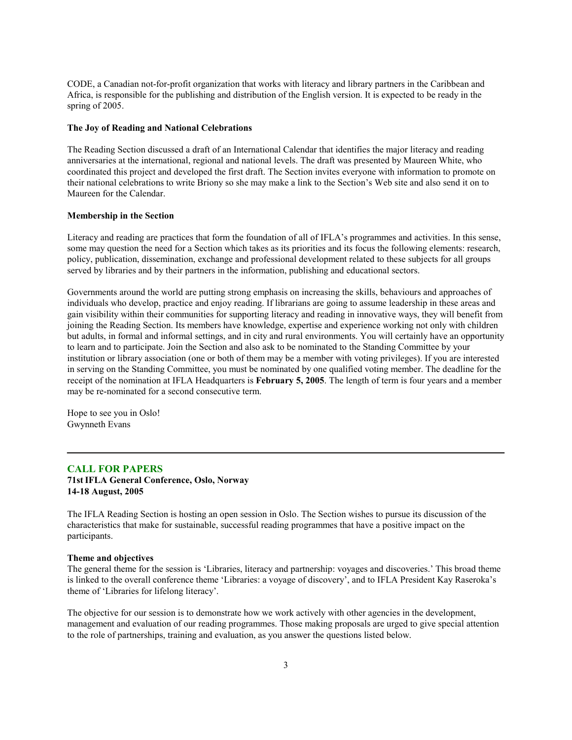CODE, a Canadian not-for-profit organization that works with literacy and library partners in the Caribbean and Africa, is responsible for the publishing and distribution of the English version. It is expected to be ready in the spring of 2005.

#### **The Joy of Reading and National Celebrations**

The Reading Section discussed a draft of an International Calendar that identifies the major literacy and reading anniversaries at the international, regional and national levels. The draft was presented by Maureen White, who coordinated this project and developed the first draft. The Section invites everyone with information to promote on their national celebrations to write Briony so she may make a link to the Section's Web site and also send it on to Maureen for the Calendar.

### **Membership in the Section**

Literacy and reading are practices that form the foundation of all of IFLA's programmes and activities. In this sense, some may question the need for a Section which takes as its priorities and its focus the following elements: research, policy, publication, dissemination, exchange and professional development related to these subjects for all groups served by libraries and by their partners in the information, publishing and educational sectors.

Governments around the world are putting strong emphasis on increasing the skills, behaviours and approaches of individuals who develop, practice and enjoy reading. If librarians are going to assume leadership in these areas and gain visibility within their communities for supporting literacy and reading in innovative ways, they will benefit from joining the Reading Section. Its members have knowledge, expertise and experience working not only with children but adults, in formal and informal settings, and in city and rural environments. You will certainly have an opportunity to learn and to participate. Join the Section and also ask to be nominated to the Standing Committee by your institution or library association (one or both of them may be a member with voting privileges). If you are interested in serving on the Standing Committee, you must be nominated by one qualified voting member. The deadline for the receipt of the nomination at IFLA Headquarters is **February 5, 2005**. The length of term is four years and a member may be re-nominated for a second consecutive term.

Hope to see you in Oslo! Gwynneth Evans

## **CALL FOR PAPERS**

**71stIFLA General Conference, Oslo, Norway 14-18 August, 2005**

The IFLA Reading Section is hosting an open session in Oslo. The Section wishes to pursue its discussion of the characteristics that make for sustainable, successful reading programmes that have a positive impact on the participants.

#### **Theme and objectives**

The general theme for the session is 'Libraries, literacy and partnership: voyages and discoveries.' This broad theme is linked to the overall conference theme 'Libraries: a voyage of discovery', and to IFLA President Kay Raseroka's theme of 'Libraries for lifelong literacy'.

The objective for our session is to demonstrate how we work actively with other agencies in the development, management and evaluation of our reading programmes. Those making proposals are urged to give special attention to the role of partnerships, training and evaluation, as you answer the questions listed below.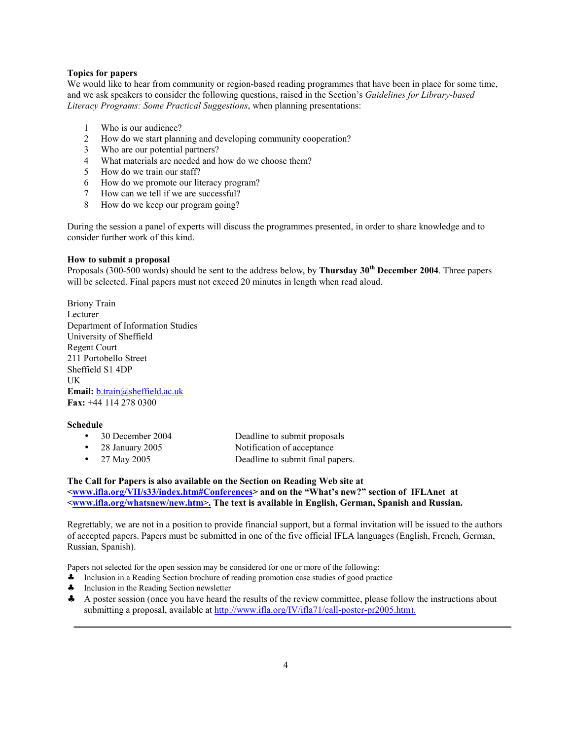#### **Topics for papers**

We would like to hear from community or region-based reading programmes that have been in place for some time, and we ask speakers to consider the following questions, raised in the Section's *Guidelines for Library-based Literacy Programs: Some Practical Suggestions*, when planning presentations:

- 1 Who is our audience?
- 2 How do we start planning and developing community cooperation?
- 3 Who are our potential partners?
- 4 What materials are needed and how do we choose them?
- 5 How do we train our staff?
- 6 How do we promote our literacy program?
- 7 How can we tell if we are successful?
- 8 How do we keep our program going?

During the session a panel of experts will discuss the programmes presented, in order to share knowledge and to consider further work of this kind.

#### **How to submit a proposal**

Proposals (300-500 words) should be sent to the address below, by **Thursday 30th December 2004**. Three papers will be selected. Final papers must not exceed 20 minutes in length when read aloud.

Briony Train Lecturer Department of Information Studies University of Sheffield Regent Court 211 Portobello Street Sheffield S1 4DP UK **Email:** b.train@sheffield.ac.uk **Fax:** +44 114 278 0300

#### **Schedule**

| $\bullet$ | 30 December 2004 | Deadline to submit proposals     |
|-----------|------------------|----------------------------------|
| $\bullet$ | 28 January 2005  | Notification of acceptance       |
| $\bullet$ | 27 May 2005      | Deadline to submit final papers. |

## **The Call for Papers is also available on the Section on Reading Web site at <www.ifla.org/VII/s33/index.htm#Conferences> and on the "What's new?" section of IFLAnet at**

## **<www.ifla.org/whatsnew/new.htm>. The text is available in English, German, Spanish and Russian.**

Regrettably, we are not in a position to provide financial support, but a formal invitation will be issued to the authors of accepted papers. Papers must be submitted in one of the five official IFLA languages (English, French, German, Russian, Spanish).

Papers not selected for the open session may be considered for one or more of the following:

- ♣ Inclusion in a Reading Section brochure of reading promotion case studies of good practice
- ♣ Inclusion in the Reading Section newsletter
- ♣ A poster session (once you have heard the results of the review committee, please follow the instructions about submitting a proposal, available at <http://www.ifla.org/IV/ifla71/call-poster-pr2005.htm>).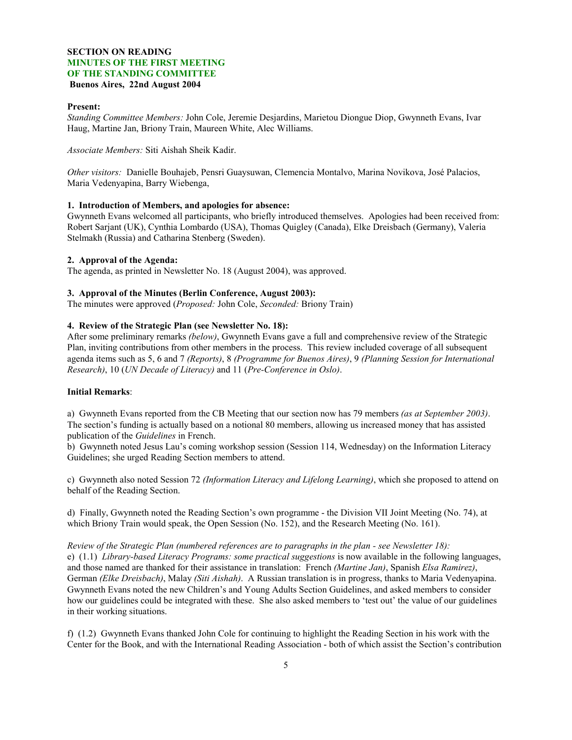## **SECTION ON READING MINUTES OF THE FIRST MEETING OF THE STANDING COMMITTEE Buenos Aires, 22nd August 2004**

### **Present:**

*Standing Committee Members:* John Cole, Jeremie Desjardins, Marietou Diongue Diop, Gwynneth Evans, Ivar Haug, Martine Jan, Briony Train, Maureen White, Alec Williams.

*Associate Members:* Siti Aishah Sheik Kadir.

*Other visitors:* Danielle Bouhajeb, Pensri Guaysuwan, Clemencia Montalvo, Marina Novikova, José Palacios, Maria Vedenyapina, Barry Wiebenga,

## **1. Introduction of Members, and apologies for absence:**

Gwynneth Evans welcomed all participants, who briefly introduced themselves. Apologies had been received from: Robert Sarjant (UK), Cynthia Lombardo (USA), Thomas Quigley (Canada), Elke Dreisbach (Germany), Valeria Stelmakh (Russia) and Catharina Stenberg (Sweden).

#### **2. Approval of the Agenda:**

The agenda, as printed in Newsletter No. 18 (August 2004), was approved.

#### **3. Approval of the Minutes (Berlin Conference, August 2003):**

The minutes were approved (*Proposed:* John Cole, *Seconded:* Briony Train)

#### **4. Review of the Strategic Plan (see Newsletter No. 18):**

After some preliminary remarks *(below)*, Gwynneth Evans gave a full and comprehensive review of the Strategic Plan, inviting contributions from other members in the process. This review included coverage of all subsequent agenda items such as 5, 6 and 7 *(Reports)*, 8 *(Programme for Buenos Aires)*, 9 *(Planning Session for International Research)*, 10 (*UN Decade of Literacy)* and 11 (*Pre-Conference in Oslo)*.

## **Initial Remarks**:

a) Gwynneth Evans reported from the CB Meeting that our section now has 79 members *(as at September 2003)*. The section's funding is actually based on a notional 80 members, allowing us increased money that has assisted publication of the *Guidelines* in French.

b) Gwynneth noted Jesus Lau's coming workshop session (Session 114, Wednesday) on the Information Literacy Guidelines; she urged Reading Section members to attend.

c) Gwynneth also noted Session 72 *(Information Literacy and Lifelong Learning)*, which she proposed to attend on behalf of the Reading Section.

d) Finally, Gwynneth noted the Reading Section's own programme - the Division VII Joint Meeting (No. 74), at which Briony Train would speak, the Open Session (No. 152), and the Research Meeting (No. 161).

*Review of the Strategic Plan (numbered references are to paragraphs in the plan - see Newsletter 18):* e) (1.1) *Library-based Literacy Programs: some practical suggestions* is now available in the following languages, and those named are thanked for their assistance in translation: French *(Martine Jan)*, Spanish *Elsa Ramirez)*, German *(Elke Dreisbach)*, Malay *(Siti Aishah)*. A Russian translation is in progress, thanks to Maria Vedenyapina. Gwynneth Evans noted the new Children's and Young Adults Section Guidelines, and asked members to consider how our guidelines could be integrated with these. She also asked members to 'test out' the value of our guidelines in their working situations.

f) (1.2) Gwynneth Evans thanked John Cole for continuing to highlight the Reading Section in his work with the Center for the Book, and with the International Reading Association - both of which assist the Section's contribution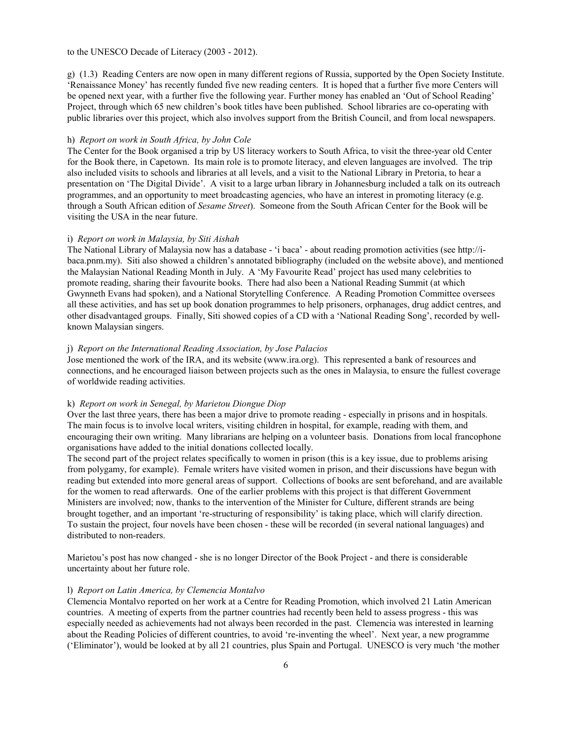#### to the UNESCO Decade of Literacy (2003 - 2012).

g) (1.3) Reading Centers are now open in many different regions of Russia, supported by the Open Society Institute. 'Renaissance Money' has recently funded five new reading centers. It is hoped that a further five more Centers will be opened next year, with a further five the following year. Further money has enabled an 'Out of School Reading' Project, through which 65 new children's book titles have been published. School libraries are co-operating with public libraries over this project, which also involves support from the British Council, and from local newspapers.

#### h) *Report on work in South Africa, by John Cole*

The Center for the Book organised a trip by US literacy workers to South Africa, to visit the three-year old Center for the Book there, in Capetown. Its main role is to promote literacy, and eleven languages are involved. The trip also included visits to schools and libraries at all levels, and a visit to the National Library in Pretoria, to hear a presentation on 'The Digital Divide'. A visit to a large urban library in Johannesburg included a talk on its outreach programmes, and an opportunity to meet broadcasting agencies, who have an interest in promoting literacy (e.g. through a South African edition of *Sesame Street*). Someone from the South African Center for the Book will be visiting the USA in the near future.

#### i) *Report on work in Malaysia, by Siti Aishah*

[The National Library of Malaysia now has a database - 'i baca' - about reading promotion activities \(see http:/](http://ibaca.pnm.my)/ibaca.pnm.my). Siti also showed a children's annotated bibliography (included on the website above), and mentioned the Malaysian National Reading Month in July. A 'My Favourite Read' project has used many celebrities to promote reading, sharing their favourite books. There had also been a National Reading Summit (at which Gwynneth Evans had spoken), and a National Storytelling Conference. A Reading Promotion Committee oversees all these activities, and has set up book donation programmes to help prisoners, orphanages, drug addict centres, and other disadvantaged groups. Finally, Siti showed copies of a CD with a 'National Reading Song', recorded by wellknown Malaysian singers.

#### j) *Report on the International Reading Association, by Jose Palacios*

Jose mentioned the work of the IRA, and its website (www.ira.org). This represented a bank of resources and connections, and he encouraged liaison between projects such as the ones in Malaysia, to ensure the fullest coverage of worldwide reading activities.

#### k) *Report on work in Senegal, by Marietou Diongue Diop*

Over the last three years, there has been a major drive to promote reading - especially in prisons and in hospitals. The main focus is to involve local writers, visiting children in hospital, for example, reading with them, and encouraging their own writing. Many librarians are helping on a volunteer basis. Donations from local francophone organisations have added to the initial donations collected locally.

The second part of the project relates specifically to women in prison (this is a key issue, due to problems arising from polygamy, for example). Female writers have visited women in prison, and their discussions have begun with reading but extended into more general areas of support. Collections of books are sent beforehand, and are available for the women to read afterwards. One of the earlier problems with this project is that different Government Ministers are involved; now, thanks to the intervention of the Minister for Culture, different strands are being brought together, and an important 're-structuring of responsibility' is taking place, which will clarify direction. To sustain the project, four novels have been chosen - these will be recorded (in several national languages) and distributed to non-readers.

Marietou's post has now changed - she is no longer Director of the Book Project - and there is considerable uncertainty about her future role.

## l) *Report on Latin America, by Clemencia Montalvo*

Clemencia Montalvo reported on her work at a Centre for Reading Promotion, which involved 21 Latin American countries. A meeting of experts from the partner countries had recently been held to assess progress - this was especially needed as achievements had not always been recorded in the past. Clemencia was interested in learning about the Reading Policies of different countries, to avoid 're-inventing the wheel'. Next year, a new programme ('Eliminator'), would be looked at by all 21 countries, plus Spain and Portugal. UNESCO is very much 'the mother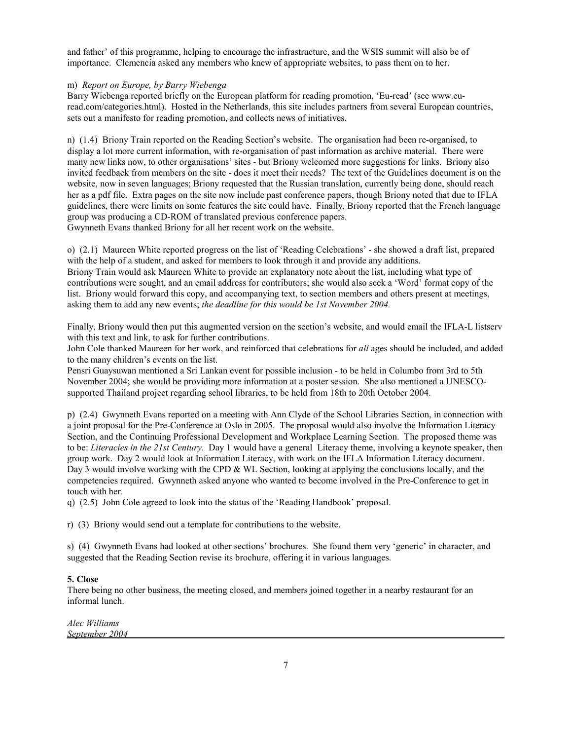and father' of this programme, helping to encourage the infrastructure, and the WSIS summit will also be of importance. Clemencia asked any members who knew of appropriate websites, to pass them on to her.

#### m) *Report on Europe, by Barry Wiebenga*

Barry Wiebenga reported briefly on the European platform for reading promotion, 'Eu-read' (see www.euread.com/categories.html). Hosted in the Netherlands, this site includes partners from several European countries, sets out a manifesto for reading promotion, and collects news of initiatives.

n) (1.4) Briony Train reported on the Reading Section's website. The organisation had been re-organised, to display a lot more current information, with re-organisation of past information as archive material. There were many new links now, to other organisations' sites - but Briony welcomed more suggestions for links. Briony also invited feedback from members on the site - does it meet their needs? The text of the Guidelines document is on the website, now in seven languages; Briony requested that the Russian translation, currently being done, should reach her as a pdf file. Extra pages on the site now include past conference papers, though Briony noted that due to IFLA guidelines, there were limits on some features the site could have. Finally, Briony reported that the French language group was producing a CD-ROM of translated previous conference papers. Gwynneth Evans thanked Briony for all her recent work on the website.

o) (2.1) Maureen White reported progress on the list of 'Reading Celebrations' - she showed a draft list, prepared with the help of a student, and asked for members to look through it and provide any additions. Briony Train would ask Maureen White to provide an explanatory note about the list, including what type of contributions were sought, and an email address for contributors; she would also seek a 'Word' format copy of the list. Briony would forward this copy, and accompanying text, to section members and others present at meetings, asking them to add any new events; *the deadline for this would be 1st November 2004.*

Finally, Briony would then put this augmented version on the section's website, and would email the IFLA-L listserv with this text and link, to ask for further contributions.

John Cole thanked Maureen for her work, and reinforced that celebrations for *all* ages should be included, and added to the many children's events on the list.

Pensri Guaysuwan mentioned a Sri Lankan event for possible inclusion - to be held in Columbo from 3rd to 5th November 2004; she would be providing more information at a poster session. She also mentioned a UNESCOsupported Thailand project regarding school libraries, to be held from 18th to 20th October 2004.

p) (2.4) Gwynneth Evans reported on a meeting with Ann Clyde of the School Libraries Section, in connection with a joint proposal for the Pre-Conference at Oslo in 2005. The proposal would also involve the Information Literacy Section, and the Continuing Professional Development and Workplace Learning Section. The proposed theme was to be: *Literacies in the 21st Century*. Day 1 would have a general Literacy theme, involving a keynote speaker, then group work. Day 2 would look at Information Literacy, with work on the IFLA Information Literacy document. Day 3 would involve working with the CPD & WL Section, looking at applying the conclusions locally, and the competencies required. Gwynneth asked anyone who wanted to become involved in the Pre-Conference to get in touch with her.

q) (2.5) John Cole agreed to look into the status of the 'Reading Handbook' proposal.

r) (3) Briony would send out a template for contributions to the website.

s) (4) Gwynneth Evans had looked at other sections' brochures. She found them very 'generic' in character, and suggested that the Reading Section revise its brochure, offering it in various languages.

#### **5. Close**

There being no other business, the meeting closed, and members joined together in a nearby restaurant for an informal lunch.

*Alec Williams September 2004*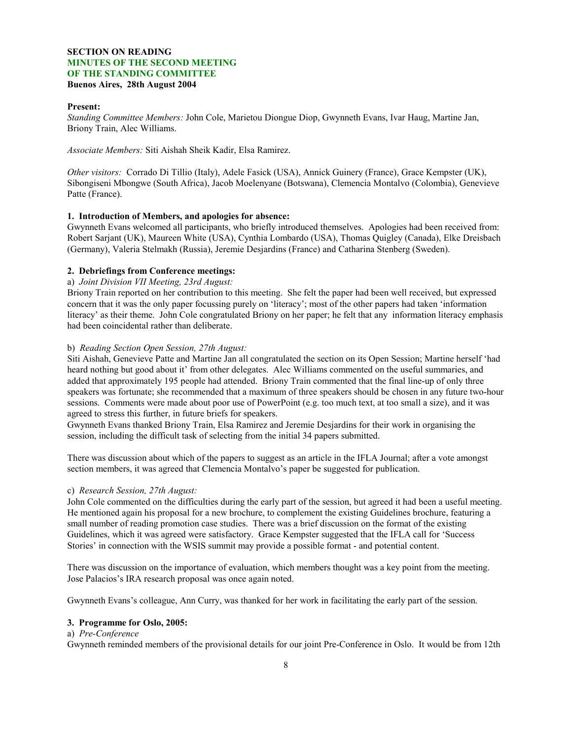## **SECTION ON READING MINUTES OF THE SECOND MEETING OF THE STANDING COMMITTEE Buenos Aires, 28th August 2004**

#### **Present:**

*Standing Committee Members:* John Cole, Marietou Diongue Diop, Gwynneth Evans, Ivar Haug, Martine Jan, Briony Train, Alec Williams.

*Associate Members:* Siti Aishah Sheik Kadir, Elsa Ramirez.

*Other visitors:* Corrado Di Tillio (Italy), Adele Fasick (USA), Annick Guinery (France), Grace Kempster (UK), Sibongiseni Mbongwe (South Africa), Jacob Moelenyane (Botswana), Clemencia Montalvo (Colombia), Genevieve Patte (France).

#### **1. Introduction of Members, and apologies for absence:**

Gwynneth Evans welcomed all participants, who briefly introduced themselves. Apologies had been received from: Robert Sarjant (UK), Maureen White (USA), Cynthia Lombardo (USA), Thomas Quigley (Canada), Elke Dreisbach (Germany), Valeria Stelmakh (Russia), Jeremie Desjardins (France) and Catharina Stenberg (Sweden).

#### **2. Debriefings from Conference meetings:**

## a) *Joint Division VII Meeting, 23rd August:*

Briony Train reported on her contribution to this meeting. She felt the paper had been well received, but expressed concern that it was the only paper focussing purely on 'literacy'; most of the other papers had taken 'information literacy' as their theme. John Cole congratulated Briony on her paper; he felt that any information literacy emphasis had been coincidental rather than deliberate.

#### b) *Reading Section Open Session, 27th August:*

Siti Aishah, Genevieve Patte and Martine Jan all congratulated the section on its Open Session; Martine herself 'had heard nothing but good about it' from other delegates. Alec Williams commented on the useful summaries, and added that approximately 195 people had attended. Briony Train commented that the final line-up of only three speakers was fortunate; she recommended that a maximum of three speakers should be chosen in any future two-hour sessions. Comments were made about poor use of PowerPoint (e.g. too much text, at too small a size), and it was agreed to stress this further, in future briefs for speakers.

Gwynneth Evans thanked Briony Train, Elsa Ramirez and Jeremie Desjardins for their work in organising the session, including the difficult task of selecting from the initial 34 papers submitted.

There was discussion about which of the papers to suggest as an article in the IFLA Journal; after a vote amongst section members, it was agreed that Clemencia Montalvo's paper be suggested for publication.

#### c) *Research Session, 27th August:*

John Cole commented on the difficulties during the early part of the session, but agreed it had been a useful meeting. He mentioned again his proposal for a new brochure, to complement the existing Guidelines brochure, featuring a small number of reading promotion case studies. There was a brief discussion on the format of the existing Guidelines, which it was agreed were satisfactory. Grace Kempster suggested that the IFLA call for 'Success Stories' in connection with the WSIS summit may provide a possible format - and potential content.

There was discussion on the importance of evaluation, which members thought was a key point from the meeting. Jose Palacios's IRA research proposal was once again noted.

Gwynneth Evans's colleague, Ann Curry, was thanked for her work in facilitating the early part of the session.

#### **3. Programme for Oslo, 2005:**

## a) *Pre-Conference*

Gwynneth reminded members of the provisional details for our joint Pre-Conference in Oslo. It would be from 12th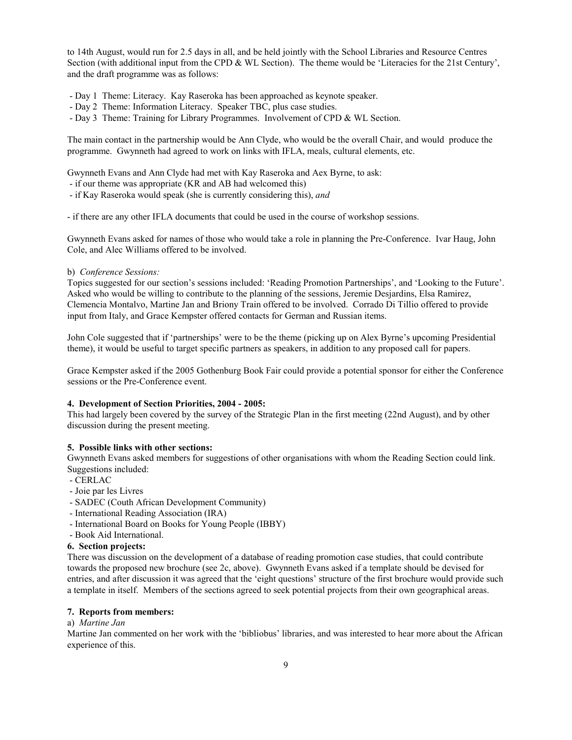to 14th August, would run for 2.5 days in all, and be held jointly with the School Libraries and Resource Centres Section (with additional input from the CPD & WL Section). The theme would be 'Literacies for the 21st Century', and the draft programme was as follows:

- Day 1 Theme: Literacy. Kay Raseroka has been approached as keynote speaker.

- Day 2 Theme: Information Literacy. Speaker TBC, plus case studies.
- Day 3 Theme: Training for Library Programmes. Involvement of CPD & WL Section.

The main contact in the partnership would be Ann Clyde, who would be the overall Chair, and would produce the programme. Gwynneth had agreed to work on links with IFLA, meals, cultural elements, etc.

Gwynneth Evans and Ann Clyde had met with Kay Raseroka and Aex Byrne, to ask:

- if our theme was appropriate (KR and AB had welcomed this)

- if Kay Raseroka would speak (she is currently considering this), *and*

- if there are any other IFLA documents that could be used in the course of workshop sessions.

Gwynneth Evans asked for names of those who would take a role in planning the Pre-Conference. Ivar Haug, John Cole, and Alec Williams offered to be involved.

b) *Conference Sessions:*

Topics suggested for our section's sessions included: 'Reading Promotion Partnerships', and 'Looking to the Future'. Asked who would be willing to contribute to the planning of the sessions, Jeremie Desjardins, Elsa Ramirez, Clemencia Montalvo, Martine Jan and Briony Train offered to be involved. Corrado Di Tillio offered to provide input from Italy, and Grace Kempster offered contacts for German and Russian items.

John Cole suggested that if 'partnerships' were to be the theme (picking up on Alex Byrne's upcoming Presidential theme), it would be useful to target specific partners as speakers, in addition to any proposed call for papers.

Grace Kempster asked if the 2005 Gothenburg Book Fair could provide a potential sponsor for either the Conference sessions or the Pre-Conference event.

### **4. Development of Section Priorities, 2004 - 2005:**

This had largely been covered by the survey of the Strategic Plan in the first meeting (22nd August), and by other discussion during the present meeting.

#### **5. Possible links with other sections:**

Gwynneth Evans asked members for suggestions of other organisations with whom the Reading Section could link. Suggestions included:

- CERLAC
- Joie par les Livres
- SADEC (Couth African Development Community)
- International Reading Association (IRA)
- International Board on Books for Young People (IBBY)
- Book Aid International.

### **6. Section projects:**

There was discussion on the development of a database of reading promotion case studies, that could contribute towards the proposed new brochure (see 2c, above). Gwynneth Evans asked if a template should be devised for entries, and after discussion it was agreed that the 'eight questions' structure of the first brochure would provide such a template in itself. Members of the sections agreed to seek potential projects from their own geographical areas.

### **7. Reports from members:**

a) *Martine Jan*

Martine Jan commented on her work with the 'bibliobus' libraries, and was interested to hear more about the African experience of this.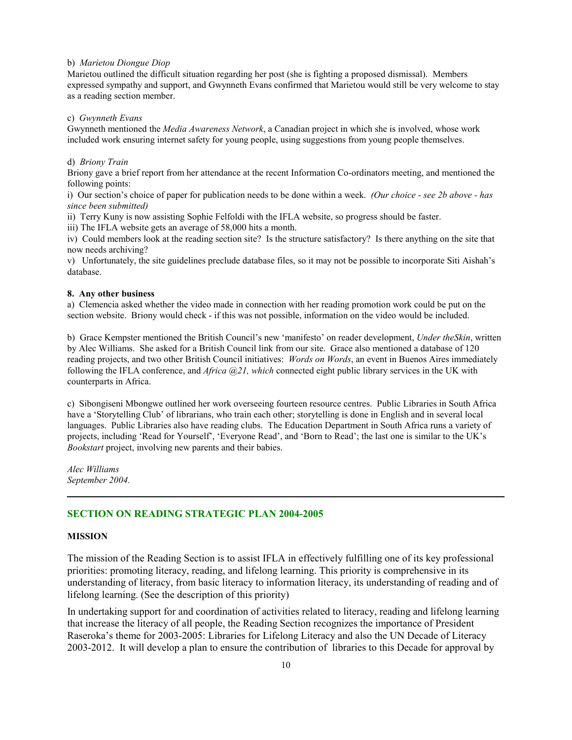#### b) *Marietou Diongue Diop*

Marietou outlined the difficult situation regarding her post (she is fighting a proposed dismissal). Members expressed sympathy and support, and Gwynneth Evans confirmed that Marietou would still be very welcome to stay as a reading section member.

#### c) *Gwynneth Evans*

Gwynneth mentioned the *Media Awareness Network*, a Canadian project in which she is involved, whose work included work ensuring internet safety for young people, using suggestions from young people themselves.

#### d) *Briony Train*

Briony gave a brief report from her attendance at the recent Information Co-ordinators meeting, and mentioned the following points:

i) Our section's choice of paper for publication needs to be done within a week. *(Our choice - see 2b above - has since been submitted)*

ii) Terry Kuny is now assisting Sophie Felfoldi with the IFLA website, so progress should be faster.

iii) The IFLA website gets an average of 58,000 hits a month.

iv) Could members look at the reading section site? Is the structure satisfactory? Is there anything on the site that now needs archiving?

v) Unfortunately, the site guidelines preclude database files, so it may not be possible to incorporate Siti Aishah's database.

#### **8. Any other business**

a) Clemencia asked whether the video made in connection with her reading promotion work could be put on the section website. Briony would check - if this was not possible, information on the video would be included.

b) Grace Kempster mentioned the British Council's new 'manifesto' on reader development, *Under theSkin*, written by Alec Williams. She asked for a British Council link from our site. Grace also mentioned a database of 120 reading projects, and two other British Council initiatives: *Words on Words*, an event in Buenos Aires immediately following the IFLA conference, and *Africa @21, which* connected eight public library services in the UK with counterparts in Africa.

c) Sibongiseni Mbongwe outlined her work overseeing fourteen resource centres. Public Libraries in South Africa have a 'Storytelling Club' of librarians, who train each other; storytelling is done in English and in several local languages. Public Libraries also have reading clubs. The Education Department in South Africa runs a variety of projects, including 'Read for Yourself', 'Everyone Read', and 'Born to Read'; the last one is similar to the UK's *Bookstart* project, involving new parents and their babies.

*Alec Williams September 2004.*

## **SECTION ON READING STRATEGIC PLAN 2004-2005**

### **MISSION**

The mission of the Reading Section is to assist IFLA in effectively fulfilling one of its key professional priorities: promoting literacy, reading, and lifelong learning. This priority is comprehensive in its understanding of literacy, from basic literacy to information literacy, its understanding of reading and of lifelong learning. (See the description of this priority)

In undertaking support for and coordination of activities related to literacy, reading and lifelong learning that increase the literacy of all people, the Reading Section recognizes the importance of President Raseroka's theme for 2003-2005: Libraries for Lifelong Literacy and also the UN Decade of Literacy 2003-2012. It will develop a plan to ensure the contribution of libraries to this Decade for approval by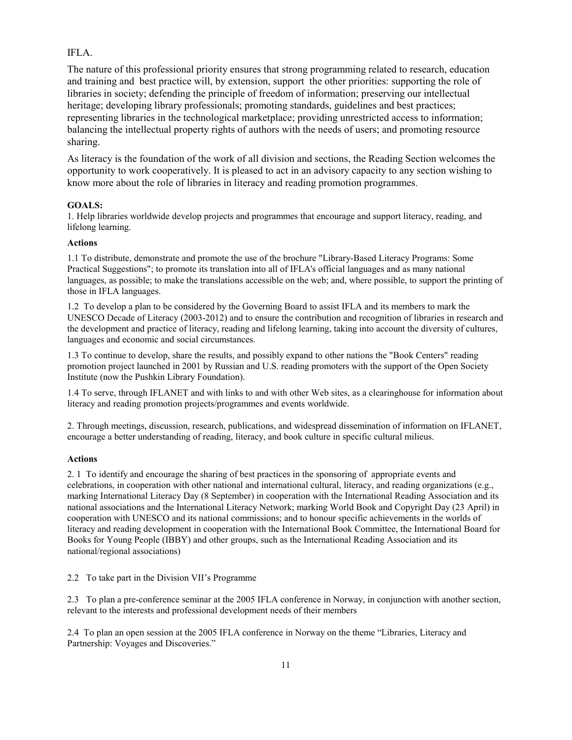## IFLA.

The nature of this professional priority ensures that strong programming related to research, education and training and best practice will, by extension, support the other priorities: supporting the role of libraries in society; defending the principle of freedom of information; preserving our intellectual heritage; developing library professionals; promoting standards, guidelines and best practices; representing libraries in the technological marketplace; providing unrestricted access to information; balancing the intellectual property rights of authors with the needs of users; and promoting resource sharing.

As literacy is the foundation of the work of all division and sections, the Reading Section welcomes the opportunity to work cooperatively. It is pleased to act in an advisory capacity to any section wishing to know more about the role of libraries in literacy and reading promotion programmes.

#### **GOALS:**

1. Help libraries worldwide develop projects and programmes that encourage and support literacy, reading, and lifelong learning.

## **Actions**

1.1 To distribute, demonstrate and promote the use of the brochure "Library-Based Literacy Programs: Some Practical Suggestions"; to promote its translation into all of IFLA's official languages and as many national languages, as possible; to make the translations accessible on the web; and, where possible, to support the printing of those in IFLA languages.

1.2 To develop a plan to be considered by the Governing Board to assist IFLA and its members to mark the UNESCO Decade of Literacy (2003-2012) and to ensure the contribution and recognition of libraries in research and the development and practice of literacy, reading and lifelong learning, taking into account the diversity of cultures, languages and economic and social circumstances.

1.3 To continue to develop, share the results, and possibly expand to other nations the "Book Centers" reading promotion project launched in 2001 by Russian and U.S. reading promoters with the support of the Open Society Institute (now the Pushkin Library Foundation).

1.4 To serve, through IFLANET and with links to and with other Web sites, as a clearinghouse for information about literacy and reading promotion projects/programmes and events worldwide.

2. Through meetings, discussion, research, publications, and widespread dissemination of information on IFLANET, encourage a better understanding of reading, literacy, and book culture in specific cultural milieus.

#### **Actions**

2. 1 To identify and encourage the sharing of best practices in the sponsoring of appropriate events and celebrations, in cooperation with other national and international cultural, literacy, and reading organizations (e.g., marking International Literacy Day (8 September) in cooperation with the International Reading Association and its national associations and the International Literacy Network; marking World Book and Copyright Day (23 April) in cooperation with UNESCO and its national commissions; and to honour specific achievements in the worlds of literacy and reading development in cooperation with the International Book Committee, the International Board for Books for Young People (IBBY) and other groups, such as the International Reading Association and its national/regional associations)

#### 2.2 To take part in the Division VII's Programme

2.3To plan a pre-conference seminar at the 2005 IFLA conference in Norway, in conjunction with another section, relevant to the interests and professional development needs of their members

2.4 To plan an open session at the 2005 IFLA conference in Norway on the theme "Libraries, Literacy and Partnership: Voyages and Discoveries."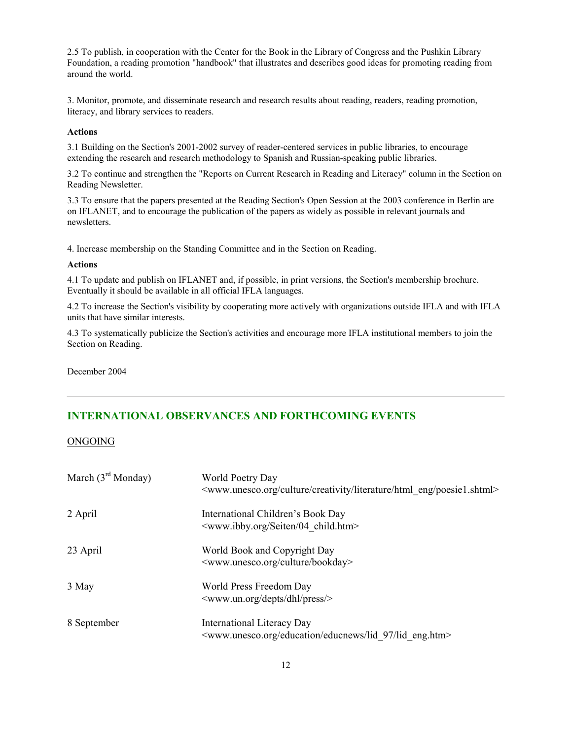2.5 To publish, in cooperation with the Center for the Book in the Library of Congress and the Pushkin Library Foundation, a reading promotion "handbook" that illustrates and describes good ideas for promoting reading from around the world.

3. Monitor, promote, and disseminate research and research results about reading, readers, reading promotion, literacy, and library services to readers.

#### **Actions**

3.1 Building on the Section's 2001-2002 survey of reader-centered services in public libraries, to encourage extending the research and research methodology to Spanish and Russian-speaking public libraries.

3.2 To continue and strengthen the "Reports on Current Research in Reading and Literacy" column in the Section on Reading Newsletter.

3.3 To ensure that the papers presented at the Reading Section's Open Session at the 2003 conference in Berlin are on IFLANET, and to encourage the publication of the papers as widely as possible in relevant journals and newsletters.

4. Increase membership on the Standing Committee and in the Section on Reading.

#### **Actions**

4.1 To update and publish on IFLANET and, if possible, in print versions, the Section's membership brochure. Eventually it should be available in all official IFLA languages.

4.2 To increase the Section's visibility by cooperating more actively with organizations outside IFLA and with IFLA units that have similar interests.

4.3 To systematically publicize the Section's activities and encourage more IFLA institutional members to join the Section on Reading.

December 2004

## **INTERNATIONAL OBSERVANCES AND FORTHCOMING EVENTS**

ONGOING

| March $(3rd$ Monday) | World Poetry Day<br><www.unesco.org creativity="" culture="" eng="" html="" literature="" poesie1.shtml=""></www.unesco.org> |
|----------------------|------------------------------------------------------------------------------------------------------------------------------|
| 2 April              | International Children's Book Day<br><www.ibby.org 04="" child.htm="" seiten=""></www.ibby.org>                              |
| 23 April             | World Book and Copyright Day<br><www.unesco.org bookday="" culture=""></www.unesco.org>                                      |
| 3 May                | World Press Freedom Day<br><www.un.org depts="" dhl="" press=""></www.un.org>                                                |
| 8 September          | International Literacy Day<br><www.unesco.org 97="" education="" educnews="" eng.htm="" lid=""></www.unesco.org>             |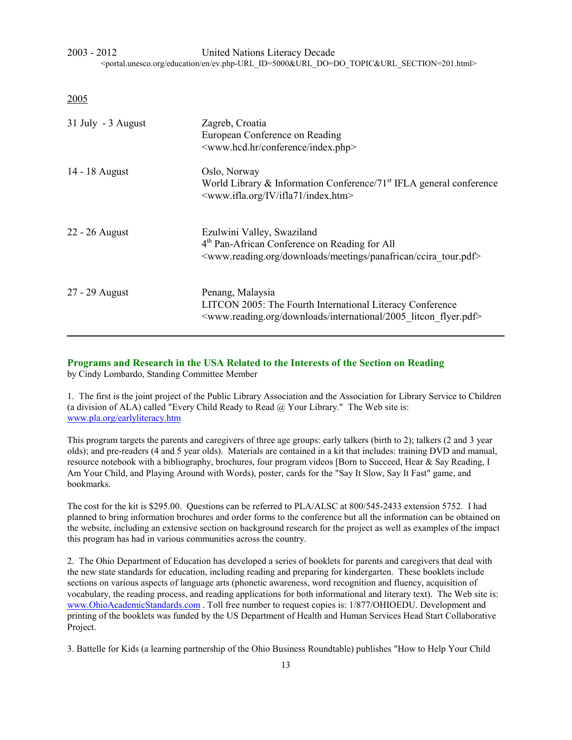2003 - 2012 United Nations Literacy Decade <portal.unesco.org/education/en/ev.php-URL\_ID=5000&URL\_DO=DO\_TOPIC&URL\_SECTION=201.html>

2005

| 31 July - 3 August | Zagreb, Croatia<br>European Conference on Reading<br><www.hcd.hr conference="" index.php=""></www.hcd.hr>                                                                               |
|--------------------|-----------------------------------------------------------------------------------------------------------------------------------------------------------------------------------------|
| 14 - 18 August     | Oslo, Norway<br>World Library & Information Conference/71 <sup>st</sup> IFLA general conference<br><www.ifla.org ifla71="" index.htm="" iv=""></www.ifla.org>                           |
| 22 - 26 August     | Ezulwini Valley, Swaziland<br>4 <sup>th</sup> Pan-African Conference on Reading for All<br><www.reading.org ccira_tour.pdf="" downloads="" meetings="" panafrican=""></www.reading.org> |
| 27 - 29 August     | Penang, Malaysia<br>LITCON 2005: The Fourth International Literacy Conference<br><www.reading.org 2005="" downloads="" flyer.pdf="" international="" litcon=""></www.reading.org>       |

#### **Programs and Research in the USA Related to the Interests of the Section on Reading** by Cindy Lombardo, Standing Committee Member

1. The first is the joint project of the Public Library Association and the Association for Library Service to Children (a division of ALA) called "Every Child Ready to Read  $@$  Your Library." The Web site is: www.pla.org/earlyliteracy.htm

This program targets the parents and caregivers of three age groups: early talkers (birth to 2); talkers (2 and 3 year olds); and pre-readers (4 and 5 year olds). Materials are contained in a kit that includes: training DVD and manual, resource notebook with a bibliography, brochures, four program videos [Born to Succeed, Hear & Say Reading, I Am Your Child, and Playing Around with Words), poster, cards for the "Say It Slow, Say It Fast" game, and bookmarks.

The cost for the kit is \$295.00. Questions can be referred to PLA/ALSC at 800/545-2433 extension 5752. I had planned to bring information brochures and order forms to the conference but all the information can be obtained on the website, including an extensive section on background research for the project as well as examples of the impact this program has had in various communities across the country.

2. The Ohio Department of Education has developed a series of booklets for parents and caregivers that deal with the new state standards for education, including reading and preparing for kindergarten. These booklets include sections on various aspects of language arts (phonetic awareness, word recognition and fluency, acquisition of vocabulary, the reading process, and reading applications for both informational and literary text). The Web site is: www.OhioAcademicStandards.com . Toll free number to request copies is: 1/877/OHIOEDU. Development and printing of the booklets was funded by the US Department of Health and Human Services Head Start Collaborative Project.

3. Battelle for Kids (a learning partnership of the Ohio Business Roundtable) publishes "How to Help Your Child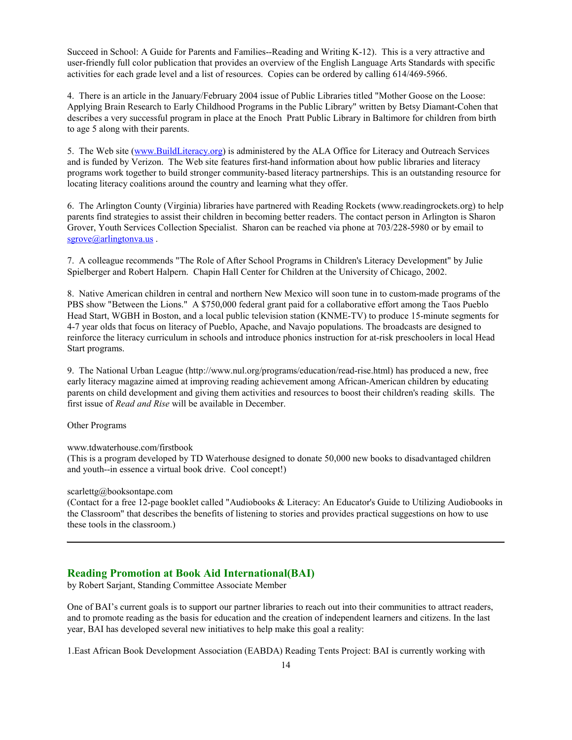Succeed in School: A Guide for Parents and Families--Reading and Writing K-12). This is a very attractive and user-friendly full color publication that provides an overview of the English Language Arts Standards with specific activities for each grade level and a list of resources. Copies can be ordered by calling 614/469-5966.

4. There is an article in the January/February 2004 issue of Public Libraries titled "Mother Goose on the Loose: Applying Brain Research to Early Childhood Programs in the Public Library" written by Betsy Diamant-Cohen that describes a very successful program in place at the Enoch Pratt Public Library in Baltimore for children from birth to age 5 along with their parents.

5. The Web site (www.BuildLiteracy.org) is administered by the ALA Office for Literacy and Outreach Services and is funded by Verizon. The Web site features first-hand information about how public libraries and literacy programs work together to build stronger community-based literacy partnerships. This is an outstanding resource for locating literacy coalitions around the country and learning what they offer.

6. The Arlington County (Virginia) libraries have partnered with Reading Rockets (www.readingrockets.org) to help parents find strategies to assist their children in becoming better readers. The contact person in Arlington is Sharon Grover, Youth Services Collection Specialist. Sharon can be reached via phone at 703/228-5980 or by email to sgrove@arlingtonva.us.

7. A colleague recommends "The Role of After School Programs in Children's Literacy Development" by Julie Spielberger and Robert Halpern. Chapin Hall Center for Children at the University of Chicago, 2002.

8. Native American children in central and northern New Mexico will soon tune in to custom-made programs of the PBS show "Between the Lions." A \$750,000 federal grant paid for a collaborative effort among the Taos Pueblo Head Start, WGBH in Boston, and a local public television station (KNME-TV) to produce 15-minute segments for 4-7 year olds that focus on literacy of Pueblo, Apache, and Navajo populations. The broadcasts are designed to reinforce the literacy curriculum in schools and introduce phonics instruction for at-risk preschoolers in local Head Start programs.

9. The National Urban League [\(http://www.nul.org/programs/education/read-rise.html\)](http://www.nul.org/programs/education/read-rise.html) has produced a new, free early literacy magazine aimed at improving reading achievement among African-American children by educating parents on child development and giving them activities and resources to boost their children's reading skills. The first issue of *Read and Rise* will be available in December.

Other Programs

www.tdwaterhouse.com/firstbook

(This is a program developed by TD Waterhouse designed to donate 50,000 new books to disadvantaged children and youth--in essence a virtual book drive. Cool concept!)

scarlettg@booksontape.com

(Contact for a free 12-page booklet called "Audiobooks & Literacy: An Educator's Guide to Utilizing Audiobooks in the Classroom" that describes the benefits of listening to stories and provides practical suggestions on how to use these tools in the classroom.)

## **Reading Promotion at Book Aid International(BAI)**

by Robert Sarjant, Standing Committee Associate Member

One of BAI's current goals is to support our partner libraries to reach out into their communities to attract readers, and to promote reading as the basis for education and the creation of independent learners and citizens. In the last year, BAI has developed several new initiatives to help make this goal a reality:

1.East African Book Development Association (EABDA) Reading Tents Project: BAI is currently working with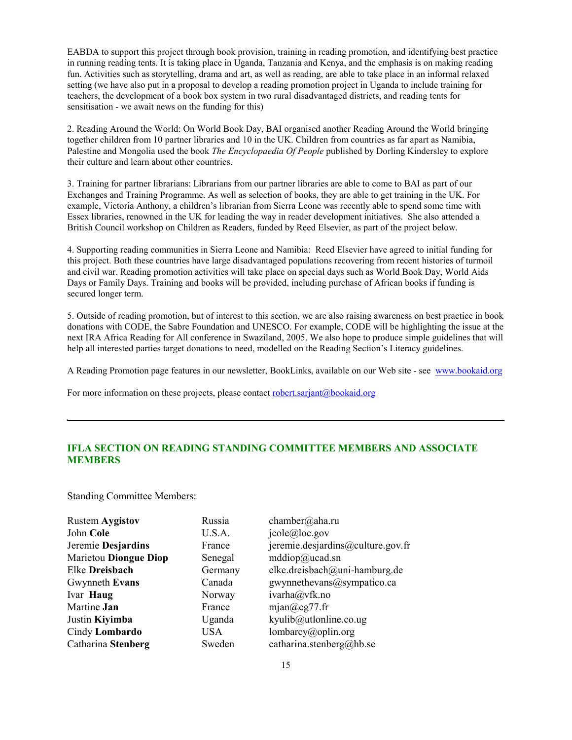EABDA to support this project through book provision, training in reading promotion, and identifying best practice in running reading tents. It is taking place in Uganda, Tanzania and Kenya, and the emphasis is on making reading fun. Activities such as storytelling, drama and art, as well as reading, are able to take place in an informal relaxed setting (we have also put in a proposal to develop a reading promotion project in Uganda to include training for teachers, the development of a book box system in two rural disadvantaged districts, and reading tents for sensitisation - we await news on the funding for this)

2. Reading Around the World: On World Book Day, BAI organised another Reading Around the World bringing together children from 10 partner libraries and 10 in the UK. Children from countries as far apart as Namibia, Palestine and Mongolia used the book *The Encyclopaedia Of People* published by Dorling Kindersley to explore their culture and learn about other countries.

3. Training for partner librarians: Librarians from our partner libraries are able to come to BAI as part of our Exchanges and Training Programme. As well as selection of books, they are able to get training in the UK. For example, Victoria Anthony, a children's librarian from Sierra Leone was recently able to spend some time with Essex libraries, renowned in the UK for leading the way in reader development initiatives. She also attended a British Council workshop on Children as Readers, funded by Reed Elsevier, as part of the project below.

4. Supporting reading communities in Sierra Leone and Namibia: Reed Elsevier have agreed to initial funding for this project. Both these countries have large disadvantaged populations recovering from recent histories of turmoil and civil war. Reading promotion activities will take place on special days such as World Book Day, World Aids Days or Family Days. Training and books will be provided, including purchase of African books if funding is secured longer term.

5. Outside of reading promotion, but of interest to this section, we are also raising awareness on best practice in book donations with CODE, the Sabre Foundation and UNESCO. For example, CODE will be highlighting the issue at the next IRA Africa Reading for All conference in Swaziland, 2005. We also hope to produce simple guidelines that will help all interested parties target donations to need, modelled on the Reading Section's Literacy guidelines.

A Reading Promotion page features in our newsletter, BookLinks, available on our Web site - see www.bookaid.org

For more information on these projects, please contact robert.sarjant@bookaid.org

## **IFLA SECTION ON READING STANDING COMMITTEE MEMBERS AND ASSOCIATE MEMBERS**

Standing Committee Members:

| <b>Rustem Aygistov</b>       | Russia  | chamber@aha.ru                          |
|------------------------------|---------|-----------------------------------------|
| John Cole                    | U.S.A.  | icole@loc.gov                           |
| Jeremie Desjardins           | France  | jeremie.desjardins@culture.gov.fr       |
| <b>Marietou Diongue Diop</b> | Senegal | $\text{mddiop}(a)\text{ucad}.\text{sn}$ |
| Elke Dreisbach               | Germany | elke.dreisbach@uni-hamburg.de           |
| Gwynneth Evans               | Canada  | gwynnethevans@sympatico.ca              |
| Ivar Haug                    | Norway  | ivarha@vfk.no                           |
| Martine Jan                  | France  | mjan@cg77.fr                            |
| Justin Kiyimba               | Uganda  | kyulib@utlonline.co.ug                  |
| Cindy Lombardo               | USA     | lombarcy@oplin.org                      |
| Catharina Stenberg           | Sweden  | catharina.stenberg@hb.se                |